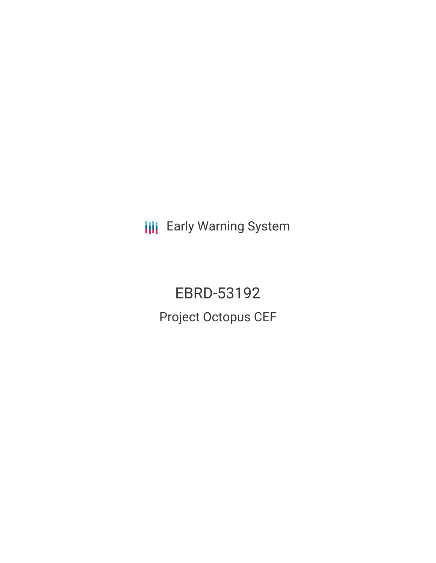**III** Early Warning System

EBRD-53192 Project Octopus CEF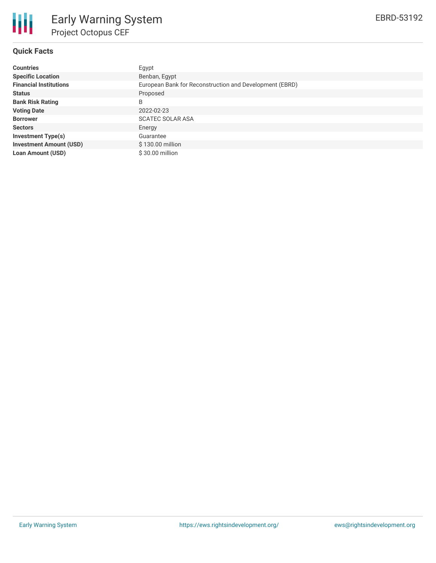

# **Quick Facts**

| <b>Countries</b>               | Egypt                                                   |
|--------------------------------|---------------------------------------------------------|
| <b>Specific Location</b>       | Benban, Egypt                                           |
| <b>Financial Institutions</b>  | European Bank for Reconstruction and Development (EBRD) |
| <b>Status</b>                  | Proposed                                                |
| <b>Bank Risk Rating</b>        | B                                                       |
| <b>Voting Date</b>             | 2022-02-23                                              |
| <b>Borrower</b>                | <b>SCATEC SOLAR ASA</b>                                 |
| <b>Sectors</b>                 | Energy                                                  |
| <b>Investment Type(s)</b>      | Guarantee                                               |
| <b>Investment Amount (USD)</b> | \$130.00 million                                        |
| <b>Loan Amount (USD)</b>       | \$30.00 million                                         |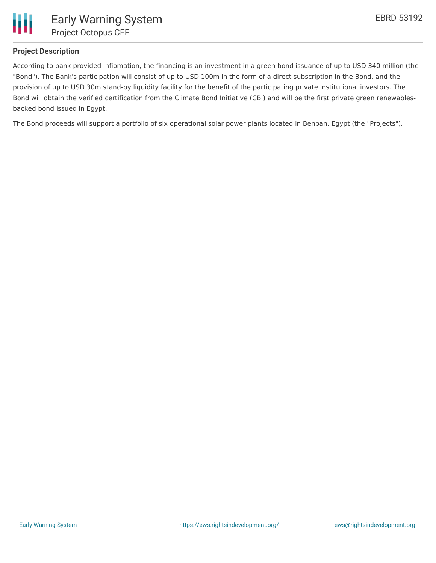

## **Project Description**

According to bank provided infiomation, the financing is an investment in a green bond issuance of up to USD 340 million (the "Bond"). The Bank's participation will consist of up to USD 100m in the form of a direct subscription in the Bond, and the provision of up to USD 30m stand-by liquidity facility for the benefit of the participating private institutional investors. The Bond will obtain the verified certification from the Climate Bond Initiative (CBI) and will be the first private green renewablesbacked bond issued in Egypt.

The Bond proceeds will support a portfolio of six operational solar power plants located in Benban, Egypt (the "Projects").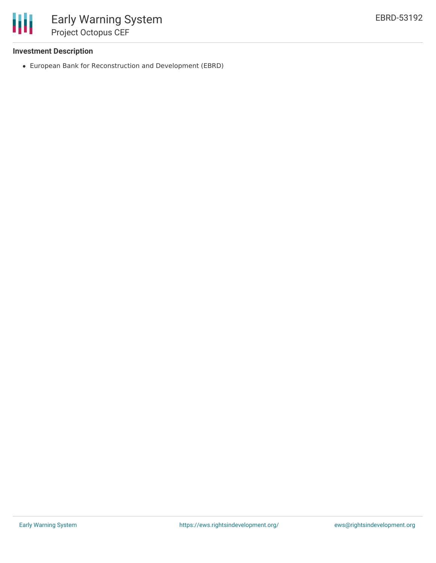

## **Investment Description**

European Bank for Reconstruction and Development (EBRD)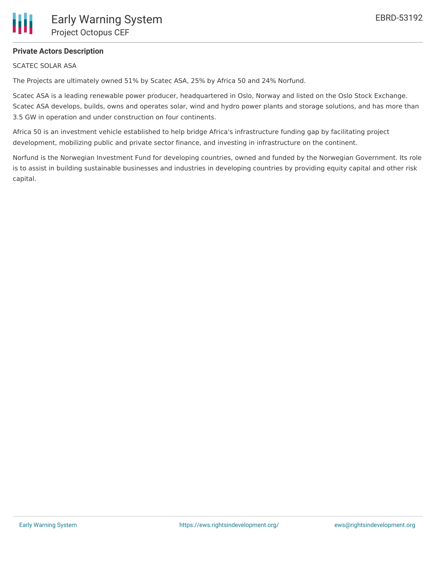# **Private Actors Description**

#### SCATEC SOLAR ASA

Ш

The Projects are ultimately owned 51% by Scatec ASA, 25% by Africa 50 and 24% Norfund.

Scatec ASA is a leading renewable power producer, headquartered in Oslo, Norway and listed on the Oslo Stock Exchange. Scatec ASA develops, builds, owns and operates solar, wind and hydro power plants and storage solutions, and has more than 3.5 GW in operation and under construction on four continents.

Africa 50 is an investment vehicle established to help bridge Africa's infrastructure funding gap by facilitating project development, mobilizing public and private sector finance, and investing in infrastructure on the continent.

Norfund is the Norwegian Investment Fund for developing countries, owned and funded by the Norwegian Government. Its role is to assist in building sustainable businesses and industries in developing countries by providing equity capital and other risk capital.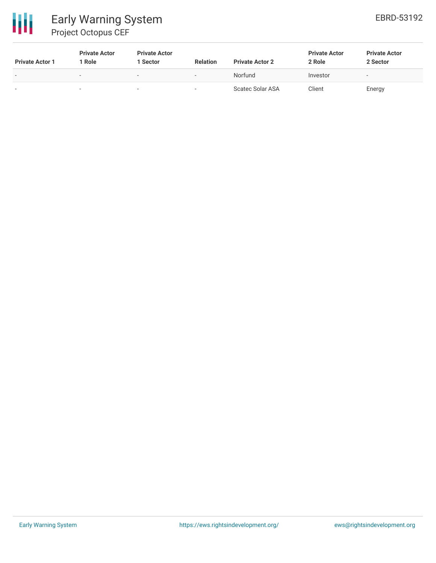

# Early Warning System Project Octopus CEF

| <b>Private Actor 1</b>   | <b>Private Actor</b><br>Role | <b>Private Actor</b><br>l Sector | <b>Relation</b>          | <b>Private Actor 2</b>  | <b>Private Actor</b><br>2 Role | <b>Private Actor</b><br>2 Sector |
|--------------------------|------------------------------|----------------------------------|--------------------------|-------------------------|--------------------------------|----------------------------------|
| $\overline{\phantom{0}}$ |                              | $\overline{\phantom{a}}$         | $\overline{\phantom{a}}$ | Norfund                 | Investor                       | $\overline{\phantom{a}}$         |
| $\sim$                   |                              |                                  | -                        | <b>Scatec Solar ASA</b> | Client                         | Energy                           |